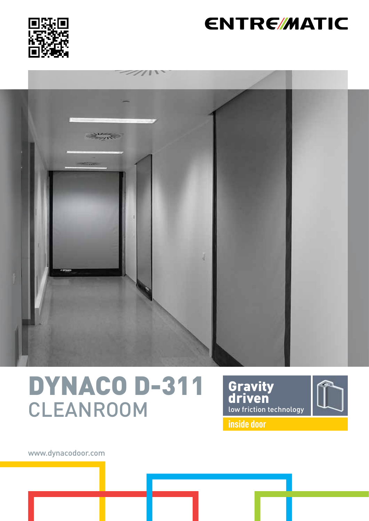

## **ENTRE/MATIC**



# DYNACO D-311 CLEANROOM





**inside door**

www.dynacodoor.com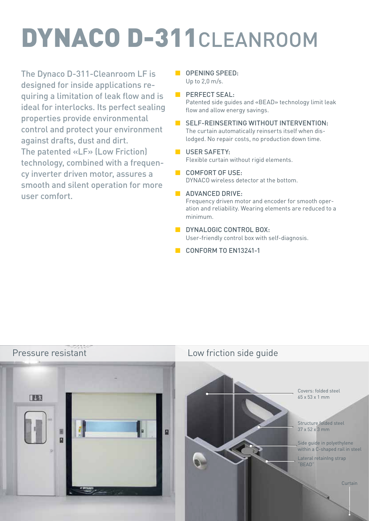# DYNACO D-311CLEANROOM

The Dynaco D-311-Cleanroom LF is designed for inside applications requiring a limitation of leak flow and is ideal for interlocks. Its perfect sealing properties provide environmental control and protect your environment against drafts, dust and dirt. The patented «LF» (Low Friction) technology, combined with a frequency inverter driven motor, assures a smooth and silent operation for more user comfort.

- **DEEDING SPEED:** Up to 2,0 m/s.
- **BERFECT SEAL:** Patented side guides and «BEAD» technology limit leak flow and allow energy savings.
	- SELF-REINSERTING WITHOUT INTERVENTION: The curtain automatically reinserts itself when dislodged. No repair costs, no production down time.
- **USER SAFETY:** Flexible curtain without rigid elements.

■ COMFORT OF USE: DYNACO wireless detector at the bottom.

- **B** ADVANCED DRIVE: Frequency driven motor and encoder for smooth operation and reliability. Wearing elements are reduced to a minimum.
- **B** DYNALOGIC CONTROL BOX. User-friendly control box with self-diagnosis.
- CONFORM TO FN13241-1



Covers: folded steel 65 x 53 x 1 mm

Structure folded steel 37 x 52 x 3 mm

Side guide in polyethylene within a C-shaped rail in steel

Lateral retainIng strap "BEAD"

Curtain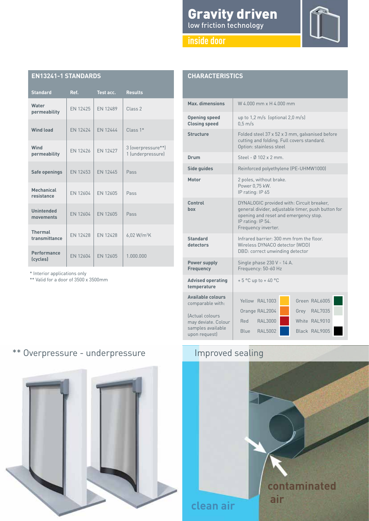## Gravity driven low friction technology

## **CHARACTERISTICS**

| <b>Standard</b>                 | Ref.            | Test acc.       | <b>Results</b>                          |
|---------------------------------|-----------------|-----------------|-----------------------------------------|
| Water<br>permeability           | FN 12425        | EN 12489        | Class 2                                 |
| <b>Wind load</b>                | FN 12424        | FN 12444        | $Class 1*$                              |
| Wind<br>permeability            | FN 12426        | FN 12427        | 3 (overpressure**)<br>1 (underpressure) |
| <b>Safe openings</b>            | FN 12453        | FN 12445        | Pass                                    |
| <b>Mechanical</b><br>resistance | FN 12604        | FN 12605        | Pass                                    |
| <b>Unintended</b><br>movements  | <b>FN 12604</b> | <b>FN 12605</b> | Pass                                    |
| <b>Thermal</b><br>transmittance | <b>EN 12428</b> | FN 12428        | 6,02 W/m <sup>2</sup> K                 |
| Performance<br>(cycles)         | <b>FN 12604</b> | FN 12605        | 1.000.000                               |

\* Interior applications only

\*\* Valid for a door of 3500 x 3500mm

**EN13241-1 STANDARDS**

| Max. dimensions                                                              | W 4.000 mm x H 4.000 mm                                                                                                                                                              |  |  |  |
|------------------------------------------------------------------------------|--------------------------------------------------------------------------------------------------------------------------------------------------------------------------------------|--|--|--|
| <b>Opening speed</b><br><b>Closing speed</b>                                 | up to $1,2 \text{ m/s}$ (optional $2,0 \text{ m/s}$ )<br>$0.5$ m/s                                                                                                                   |  |  |  |
| <b>Structure</b>                                                             | Folded steel 37 x 52 x 3 mm, galvanised before<br>cutting and folding. Full covers standard.<br>Option: stainless steel                                                              |  |  |  |
| Drum                                                                         | Steel - Ø 102 x 2 mm.                                                                                                                                                                |  |  |  |
| Side guides                                                                  | Reinforced polyethylene (PE-UHMW1000)                                                                                                                                                |  |  |  |
| Motor                                                                        | 2 poles, without brake.<br>Power 0,75 kW.<br>IP rating: IP 65                                                                                                                        |  |  |  |
| Control<br>box                                                               | DYNALOGIC provided with: Circuit breaker,<br>general divider, adjustable timer, push button for<br>opening and reset and emergency stop.<br>IP rating: IP 54.<br>Frequency inverter. |  |  |  |
| <b>Standard</b><br>detectors                                                 | Infrared barrier: 300 mm from the floor.<br>Wireless DYNACO detector (WDD)<br>DBD: correct unwinding detector                                                                        |  |  |  |
| Power supply<br><b>Frequency</b>                                             | Single phase 230 V - 14 A.<br>Frequency: 50-60 Hz                                                                                                                                    |  |  |  |
| <b>Advised operating</b><br>temperature                                      | $+5$ °C up to $+40$ °C                                                                                                                                                               |  |  |  |
| <b>Available colours</b><br>comparable with:                                 | Yellow RAL1003<br>Green RAL6005                                                                                                                                                      |  |  |  |
| (Actual colours<br>may deviate. Colour<br>samples available<br>upon request) | Orange RAL2004<br>Grey RAL7035<br><b>RAL3000</b><br>White RAL9010<br>Red<br>RAI 5002<br>Black RAL9005<br>Blue                                                                        |  |  |  |

## \*\* Overpressure - underpressure Improved sealing